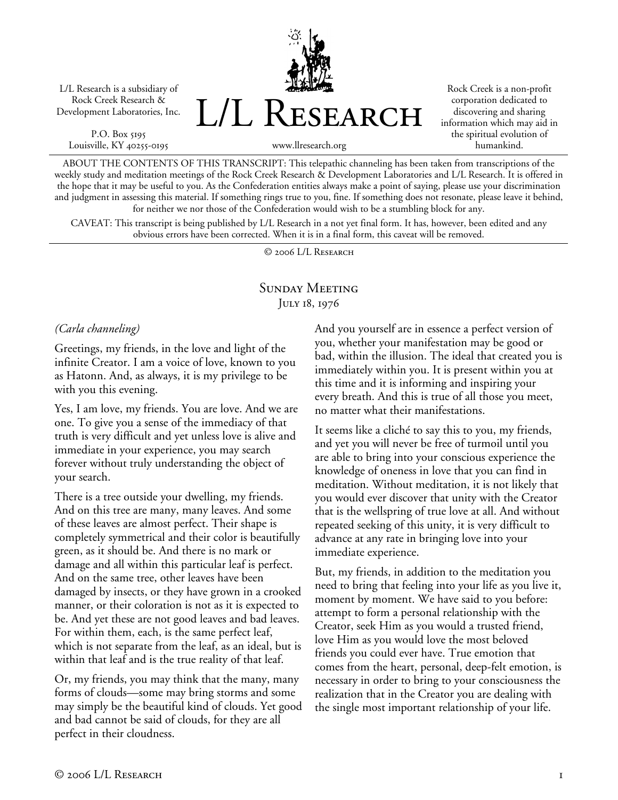L/L Research is a subsidiary of Rock Creek Research & Development Laboratories, Inc.

P.O. Box 5195 Louisville, KY 40255-0195 L/L Research

Rock Creek is a non-profit corporation dedicated to discovering and sharing information which may aid in the spiritual evolution of humankind.

www.llresearch.org

ABOUT THE CONTENTS OF THIS TRANSCRIPT: This telepathic channeling has been taken from transcriptions of the weekly study and meditation meetings of the Rock Creek Research & Development Laboratories and L/L Research. It is offered in the hope that it may be useful to you. As the Confederation entities always make a point of saying, please use your discrimination and judgment in assessing this material. If something rings true to you, fine. If something does not resonate, please leave it behind, for neither we nor those of the Confederation would wish to be a stumbling block for any.

CAVEAT: This transcript is being published by L/L Research in a not yet final form. It has, however, been edited and any obvious errors have been corrected. When it is in a final form, this caveat will be removed.

© 2006 L/L Research

# Sunday Meeting JULY 18, 1976

### *(Carla channeling)*

Greetings, my friends, in the love and light of the infinite Creator. I am a voice of love, known to you as Hatonn. And, as always, it is my privilege to be with you this evening.

Yes, I am love, my friends. You are love. And we are one. To give you a sense of the immediacy of that truth is very difficult and yet unless love is alive and immediate in your experience, you may search forever without truly understanding the object of your search.

There is a tree outside your dwelling, my friends. And on this tree are many, many leaves. And some of these leaves are almost perfect. Their shape is completely symmetrical and their color is beautifully green, as it should be. And there is no mark or damage and all within this particular leaf is perfect. And on the same tree, other leaves have been damaged by insects, or they have grown in a crooked manner, or their coloration is not as it is expected to be. And yet these are not good leaves and bad leaves. For within them, each, is the same perfect leaf, which is not separate from the leaf, as an ideal, but is within that leaf and is the true reality of that leaf.

Or, my friends, you may think that the many, many forms of clouds—some may bring storms and some may simply be the beautiful kind of clouds. Yet good and bad cannot be said of clouds, for they are all perfect in their cloudness.

And you yourself are in essence a perfect version of you, whether your manifestation may be good or bad, within the illusion. The ideal that created you is immediately within you. It is present within you at this time and it is informing and inspiring your every breath. And this is true of all those you meet, no matter what their manifestations.

It seems like a cliché to say this to you, my friends, and yet you will never be free of turmoil until you are able to bring into your conscious experience the knowledge of oneness in love that you can find in meditation. Without meditation, it is not likely that you would ever discover that unity with the Creator that is the wellspring of true love at all. And without repeated seeking of this unity, it is very difficult to advance at any rate in bringing love into your immediate experience.

But, my friends, in addition to the meditation you need to bring that feeling into your life as you live it, moment by moment. We have said to you before: attempt to form a personal relationship with the Creator, seek Him as you would a trusted friend, love Him as you would love the most beloved friends you could ever have. True emotion that comes from the heart, personal, deep-felt emotion, is necessary in order to bring to your consciousness the realization that in the Creator you are dealing with the single most important relationship of your life.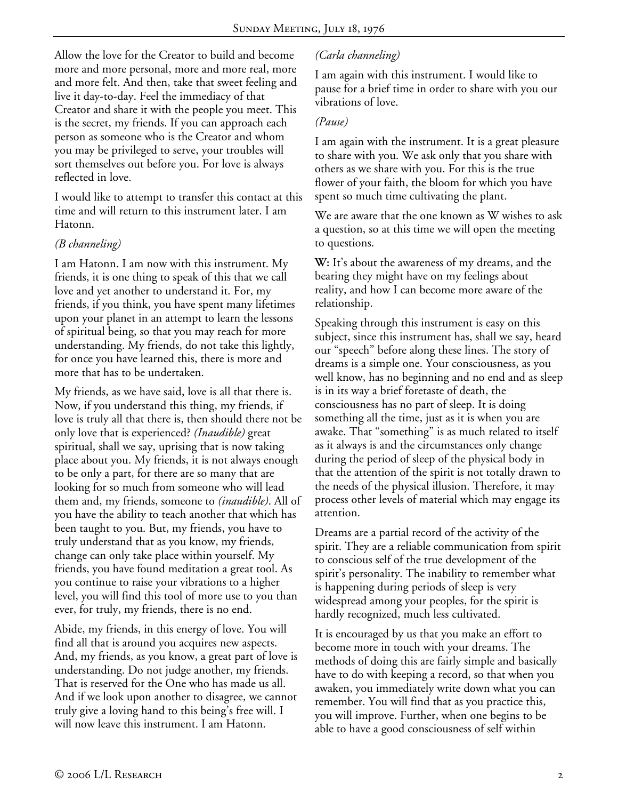Allow the love for the Creator to build and become more and more personal, more and more real, more and more felt. And then, take that sweet feeling and live it day-to-day. Feel the immediacy of that Creator and share it with the people you meet. This is the secret, my friends. If you can approach each person as someone who is the Creator and whom you may be privileged to serve, your troubles will sort themselves out before you. For love is always reflected in love.

I would like to attempt to transfer this contact at this time and will return to this instrument later. I am Hatonn.

### *(B channeling)*

I am Hatonn. I am now with this instrument. My friends, it is one thing to speak of this that we call love and yet another to understand it. For, my friends, if you think, you have spent many lifetimes upon your planet in an attempt to learn the lessons of spiritual being, so that you may reach for more understanding. My friends, do not take this lightly, for once you have learned this, there is more and more that has to be undertaken.

My friends, as we have said, love is all that there is. Now, if you understand this thing, my friends, if love is truly all that there is, then should there not be only love that is experienced? *(Inaudible)* great spiritual, shall we say, uprising that is now taking place about you. My friends, it is not always enough to be only a part, for there are so many that are looking for so much from someone who will lead them and, my friends, someone to *(inaudible)*. All of you have the ability to teach another that which has been taught to you. But, my friends, you have to truly understand that as you know, my friends, change can only take place within yourself. My friends, you have found meditation a great tool. As you continue to raise your vibrations to a higher level, you will find this tool of more use to you than ever, for truly, my friends, there is no end.

Abide, my friends, in this energy of love. You will find all that is around you acquires new aspects. And, my friends, as you know, a great part of love is understanding. Do not judge another, my friends. That is reserved for the One who has made us all. And if we look upon another to disagree, we cannot truly give a loving hand to this being's free will. I will now leave this instrument. I am Hatonn.

## *(Carla channeling)*

I am again with this instrument. I would like to pause for a brief time in order to share with you our vibrations of love.

#### *(Pause)*

I am again with the instrument. It is a great pleasure to share with you. We ask only that you share with others as we share with you. For this is the true flower of your faith, the bloom for which you have spent so much time cultivating the plant.

We are aware that the one known as W wishes to ask a question, so at this time we will open the meeting to questions.

**W:** It's about the awareness of my dreams, and the bearing they might have on my feelings about reality, and how I can become more aware of the relationship.

Speaking through this instrument is easy on this subject, since this instrument has, shall we say, heard our "speech" before along these lines. The story of dreams is a simple one. Your consciousness, as you well know, has no beginning and no end and as sleep is in its way a brief foretaste of death, the consciousness has no part of sleep. It is doing something all the time, just as it is when you are awake. That "something" is as much related to itself as it always is and the circumstances only change during the period of sleep of the physical body in that the attention of the spirit is not totally drawn to the needs of the physical illusion. Therefore, it may process other levels of material which may engage its attention.

Dreams are a partial record of the activity of the spirit. They are a reliable communication from spirit to conscious self of the true development of the spirit's personality. The inability to remember what is happening during periods of sleep is very widespread among your peoples, for the spirit is hardly recognized, much less cultivated.

It is encouraged by us that you make an effort to become more in touch with your dreams. The methods of doing this are fairly simple and basically have to do with keeping a record, so that when you awaken, you immediately write down what you can remember. You will find that as you practice this, you will improve. Further, when one begins to be able to have a good consciousness of self within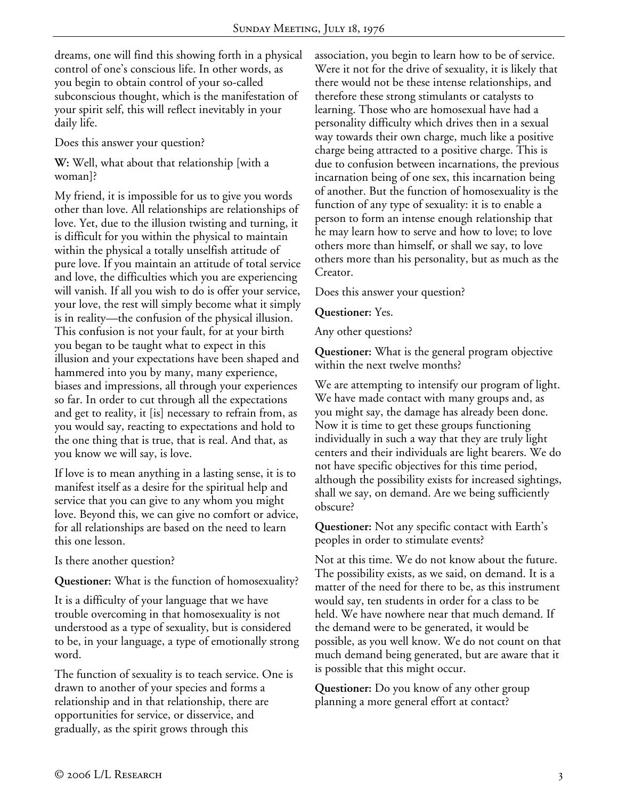dreams, one will find this showing forth in a physical control of one's conscious life. In other words, as you begin to obtain control of your so-called subconscious thought, which is the manifestation of your spirit self, this will reflect inevitably in your daily life.

Does this answer your question?

**W:** Well, what about that relationship [with a woman]?

My friend, it is impossible for us to give you words other than love. All relationships are relationships of love. Yet, due to the illusion twisting and turning, it is difficult for you within the physical to maintain within the physical a totally unselfish attitude of pure love. If you maintain an attitude of total service and love, the difficulties which you are experiencing will vanish. If all you wish to do is offer your service, your love, the rest will simply become what it simply is in reality—the confusion of the physical illusion. This confusion is not your fault, for at your birth you began to be taught what to expect in this illusion and your expectations have been shaped and hammered into you by many, many experience, biases and impressions, all through your experiences so far. In order to cut through all the expectations and get to reality, it [is] necessary to refrain from, as you would say, reacting to expectations and hold to the one thing that is true, that is real. And that, as you know we will say, is love.

If love is to mean anything in a lasting sense, it is to manifest itself as a desire for the spiritual help and service that you can give to any whom you might love. Beyond this, we can give no comfort or advice, for all relationships are based on the need to learn this one lesson.

Is there another question?

**Questioner:** What is the function of homosexuality?

It is a difficulty of your language that we have trouble overcoming in that homosexuality is not understood as a type of sexuality, but is considered to be, in your language, a type of emotionally strong word.

The function of sexuality is to teach service. One is drawn to another of your species and forms a relationship and in that relationship, there are opportunities for service, or disservice, and gradually, as the spirit grows through this

association, you begin to learn how to be of service. Were it not for the drive of sexuality, it is likely that there would not be these intense relationships, and therefore these strong stimulants or catalysts to learning. Those who are homosexual have had a personality difficulty which drives then in a sexual way towards their own charge, much like a positive charge being attracted to a positive charge. This is due to confusion between incarnations, the previous incarnation being of one sex, this incarnation being of another. But the function of homosexuality is the function of any type of sexuality: it is to enable a person to form an intense enough relationship that he may learn how to serve and how to love; to love others more than himself, or shall we say, to love others more than his personality, but as much as the Creator.

Does this answer your question?

**Questioner:** Yes.

Any other questions?

**Questioner:** What is the general program objective within the next twelve months?

We are attempting to intensify our program of light. We have made contact with many groups and, as you might say, the damage has already been done. Now it is time to get these groups functioning individually in such a way that they are truly light centers and their individuals are light bearers. We do not have specific objectives for this time period, although the possibility exists for increased sightings, shall we say, on demand. Are we being sufficiently obscure?

**Questioner:** Not any specific contact with Earth's peoples in order to stimulate events?

Not at this time. We do not know about the future. The possibility exists, as we said, on demand. It is a matter of the need for there to be, as this instrument would say, ten students in order for a class to be held. We have nowhere near that much demand. If the demand were to be generated, it would be possible, as you well know. We do not count on that much demand being generated, but are aware that it is possible that this might occur.

**Questioner:** Do you know of any other group planning a more general effort at contact?